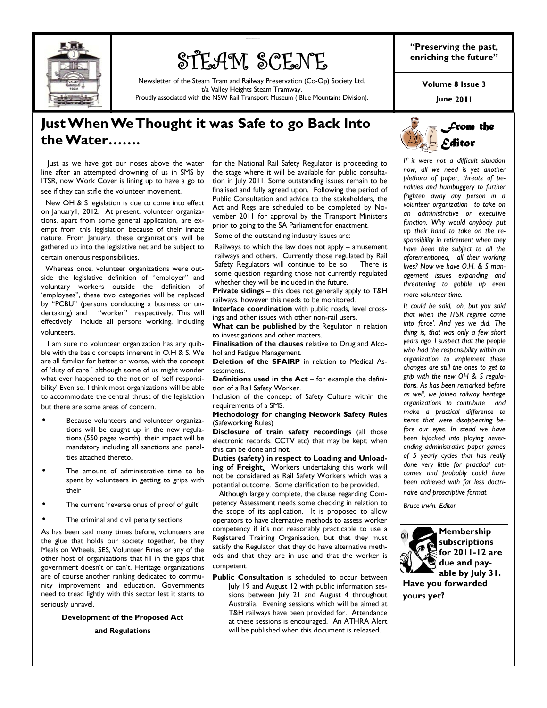

# STEAM SCENE

Newsletter of the Steam Tram and Railway Preservation (Co-Op) Society Ltd. t/a Valley Heights Steam Tramway.

Proudly associated with the NSW Rail Transport Museum ( Blue Mountains Division).

# Just When We Thought it was Safe to go Back Into the Water…….

 Just as we have got our noses above the water line after an attempted drowning of us in SMS by ITSR, now Work Cover is lining up to have a go to see if they can stifle the volunteer movement.

 New OH & S legislation is due to come into effect on January1, 2012. At present, volunteer organizations, apart from some general application, are exempt from this legislation because of their innate nature. From January, these organizations will be gathered up into the legislative net and be subject to certain onerous responsibilities.

 Whereas once, volunteer organizations were outside the legislative definition of "employer" and voluntary workers outside the definition of 'employees", these two categories will be replaced by "PCBU" (persons conducting a business or undertaking) and "worker" respectively. This will effectively include all persons working, including volunteers.

 I am sure no volunteer organization has any quibble with the basic concepts inherent in O.H & S. We are all familiar for better or worse, with the concept of 'duty of care ' although some of us might wonder what ever happened to the notion of 'self responsibility' Even so, I think most organizations will be able to accommodate the central thrust of the legislation

but there are some areas of concern.

- Because volunteers and volunteer organizations will be caught up in the new regulations (550 pages worth), their impact will be mandatory including all sanctions and penalties attached thereto.
- The amount of administrative time to be spent by volunteers in getting to grips with their
- The current 'reverse onus of proof of guilt'
- The criminal and civil penalty sections

As has been said many times before, volunteers are the glue that holds our society together, be they Meals on Wheels, SES, Volunteer Firies or any of the other host of organizations that fill in the gaps that government doesn't or can't. Heritage organizations are of course another ranking dedicated to community improvement and education. Governments need to tread lightly with this sector lest it starts to seriously unravel.

> Development of the Proposed Act and Regulations

for the National Rail Safety Regulator is proceeding to the stage where it will be available for public consultation in July 2011. Some outstanding issues remain to be finalised and fully agreed upon. Following the period of Public Consultation and advice to the stakeholders, the Act and Regs are scheduled to be completed by November 2011 for approval by the Transport Ministers prior to going to the SA Parliament for enactment.

- 이 그는 그 사람들은 아이들이 아니라 아이들은 아이들이 아니라 아이들이 아니라 아이들이 아니라 아이들이 아니라 아이들이 아니라 아이들이 아니라 아이들이 아니라 아이들이 아니라 아이들이 아니라 아

Some of the outstanding industry issues are:

Railways to which the law does not apply – amusement railways and others. Currently those regulated by Rail Safety Regulators will continue to be so. There is some question regarding those not currently regulated whether they will be included in the future.

Private sidings - this does not generally apply to T&H railways, however this needs to be monitored.

Interface coordination with public roads, level crossings and other issues with other non-rail users.

What can be published by the Regulator in relation to investigations and other matters.

Finalisation of the clauses relative to Drug and Alcohol and Fatigue Management.

Deletion of the **SFAIRP** in relation to Medical Assessments.

Definitions used in the Act – for example the definition of a Rail Safety Worker.

Inclusion of the concept of Safety Culture within the requirements of a SMS.

Methodology for changing Network Safety Rules (Safeworking Rules)

Disclosure of train safety recordings (all those electronic records, CCTV etc) that may be kept; when this can be done and not.

Duties (safety) in respect to Loading and Unloading of Freight. Workers undertaking this work will not be considered as Rail Safety Workers which was a potential outcome. Some clarification to be provided.

 Although largely complete, the clause regarding Competency Assessment needs some checking in relation to the scope of its application. It is proposed to allow operators to have alternative methods to assess worker competency if it's not reasonably practicable to use a Registered Training Organisation, but that they must satisfy the Regulator that they do have alternative methods and that they are in use and that the worker is competent.

Public Consultation is scheduled to occur between July 19 and August 12 with public information sessions between July 21 and August 4 throughout Australia. Evening sessions which will be aimed at T&H railways have been provided for. Attendance at these sessions is encouraged. An ATHRA Alert will be published when this document is released.

"Preserving the past, enriching the future"

Volume 8 Issue 3

**June 2011** 



*If it were not a difficult situation now, all we need is yet another plethora of paper, threats of penalities and humbuggery to further frighten away any person in a volunteer organization to take on an administrative or executive function. Why would anybody put up their hand to take on the responsibility in retirement when they have been the subject to all the aforementioned, all their working lives? Now we have O.H. & S management issues expanding and threatening to gobble up even more volunteer time.* 

*It could be said, 'oh, but you said that when the ITSR regime came into force'. And yes we did. The thing is, that was only a few short years ago. I suspect that the people who had the responsibility within an organization to implement those changes are still the ones to get to grip with the new OH & S regulations. As has been remarked before as well, we joined railway heritage organizations to contribute and make a practical difference to items that were disappearing before our eyes. In stead we have been hijacked into playing neverending administrative paper games of 5 yearly cycles that has really done very little for practical outcomes and probably could have been achieved with far less doctrinaire and proscriptive format.* 

*Bruce Irwin. Editor* 



Membership subscriptions for 2011-12 are due and payable by July 31. Have you forwarded

yours yet?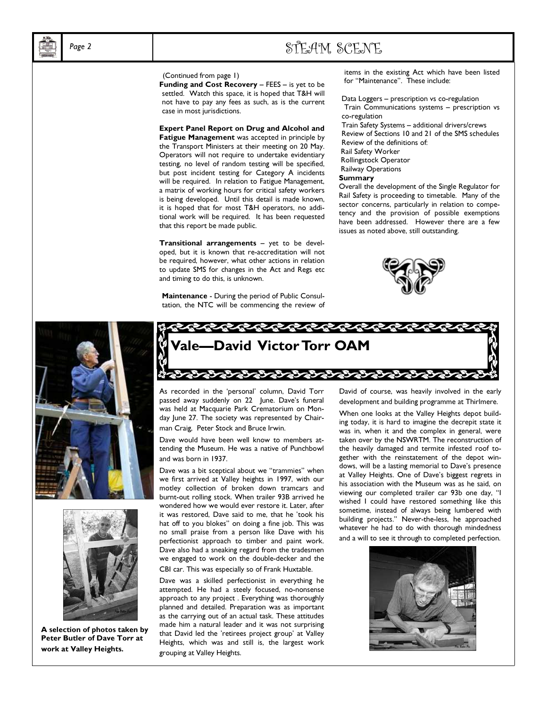

# Page 2  $\text{S} \uparrow \text{F} \uparrow \text{A} \uparrow \text{M}$   $\text{S} \uparrow \text{F} \uparrow \text{N} \uparrow \text{F}$

### (Continued from page 1)

Funding and Cost Recovery - FEES - is yet to be settled. Watch this space, it is hoped that T&H will not have to pay any fees as such, as is the current case in most jurisdictions.

### Expert Panel Report on Drug and Alcohol and

Fatigue Management was accepted in principle by the Transport Ministers at their meeting on 20 May. Operators will not require to undertake evidentiary testing, no level of random testing will be specified, but post incident testing for Category A incidents will be required. In relation to Fatigue Management, a matrix of working hours for critical safety workers is being developed. Until this detail is made known, it is hoped that for most T&H operators, no additional work will be required. It has been requested that this report be made public.

Transitional arrangements – yet to be developed, but it is known that re-accreditation will not be required, however, what other actions in relation to update SMS for changes in the Act and Regs etc and timing to do this, is unknown.

Maintenance - During the period of Public Consultation, the NTC will be commencing the review of

-David Victor Torr OAM

てきてきてきてきてきてきてきてきてきてき

ومروموم ومومر والمواسوم والمراجر والمواسوم والمراجرات

items in the existing Act which have been listed for "Maintenance". These include:

Data Loggers – prescription vs co-regulation Train Communications systems – prescription vs co-regulation

Train Safety Systems – additional drivers/crews Review of Sections 10 and 21 of the SMS schedules Review of the definitions of:

Rail Safety Worker

Rollingstock Operator

Railway Operations

### **Summary**

Overall the development of the Single Regulator for Rail Safety is proceeding to timetable. Many of the sector concerns, particularly in relation to competency and the provision of possible exemptions have been addressed. However there are a few issues as noted above, still outstanding.







A selection of photos taken by Peter Butler of Dave Torr at work at Valley Heights.

As recorded in the 'personal' column, David Torr passed away suddenly on 22 June. Dave's funeral was held at Macquarie Park Crematorium on Monday June 27. The society was represented by Chairman Craig, Peter Stock and Bruce Irwin.

Dave would have been well know to members attending the Museum. He was a native of Punchbowl and was born in 1937.

Dave was a bit sceptical about we "trammies" when we first arrived at Valley heights in 1997, with our motley collection of broken down tramcars and burnt-out rolling stock. When trailer 93B arrived he wondered how we would ever restore it. Later, after it was restored, Dave said to me, that he 'took his hat off to you blokes" on doing a fine job. This was no small praise from a person like Dave with his perfectionist approach to timber and paint work. Dave also had a sneaking regard from the tradesmen we engaged to work on the double-decker and the CBI car. This was especially so of Frank Huxtable.

Dave was a skilled perfectionist in everything he attempted. He had a steely focused, no-nonsense approach to any project . Everything was thoroughly planned and detailed. Preparation was as important as the carrying out of an actual task. These attitudes made him a natural leader and it was not surprising that David led the 'retirees project group' at Valley Heights, which was and still is, the largest work grouping at Valley Heights.

David of course, was heavily involved in the early development and building programme at Thirlmere.

When one looks at the Valley Heights depot building today, it is hard to imagine the decrepit state it was in, when it and the complex in general, were taken over by the NSWRTM. The reconstruction of the heavily damaged and termite infested roof together with the reinstatement of the depot windows, will be a lasting memorial to Dave's presence at Valley Heights. One of Dave's biggest regrets in his association with the Museum was as he said, on viewing our completed trailer car 93b one day, "I wished I could have restored something like this sometime, instead of always being lumbered with building projects." Never-the-less, he approached whatever he had to do with thorough mindedness and a will to see it through to completed perfection.

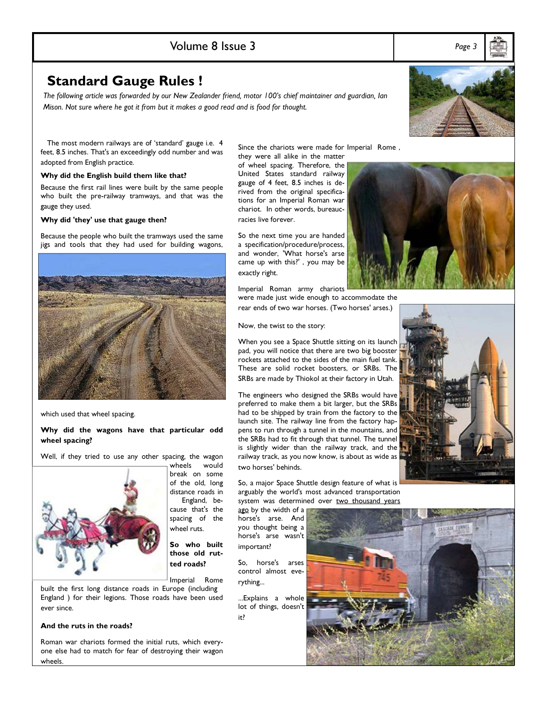### Standard Gauge Rules !

The following article was forwarded by our New Zealander friend, motor 100's chief maintainer and guardian, Ian Mison. Not sure where he got it from but it makes a good read and is food for thought.

 The most modern railways are of 'standard' gauge i.e. 4 feet, 8.5 inches. That's an exceedingly odd number and was adopted from English practice.

#### Why did the English build them like that?

Because the first rail lines were built by the same people who built the pre-railway tramways, and that was the gauge they used.

### Why did 'they' use that gauge then?

Because the people who built the tramways used the same jigs and tools that they had used for building wagons,



which used that wheel spacing.

### Why did the wagons have that particular odd wheel spacing?

Well, if they tried to use any other spacing, the wagon



wheels would break on some of the old, long distance roads in England, because that's the spacing of the wheel ruts.

> So who built those old rutted roads?

Imperial Rome built the first long distance roads in Europe (including England ) for their legions. Those roads have been used ever since.

### And the ruts in the roads?

Roman war chariots formed the initial ruts, which everyone else had to match for fear of destroying their wagon wheels.

Since the chariots were made for Imperial Rome , they were all alike in the matter

of wheel spacing. Therefore, the United States standard railway gauge of 4 feet, 8.5 inches is derived from the original specifications for an Imperial Roman war chariot. In other words, bureaucracies live forever.

So the next time you are handed a specification/procedure/process, and wonder, 'What horse's arse came up with this?' , you may be exactly right.

Imperial Roman army chariots

were made just wide enough to accommodate the rear ends of two war horses. (Two horses' arses.)

Now, the twist to the story:

When you see a Space Shuttle sitting on its launch pad, you will notice that there are two big booster rockets attached to the sides of the main fuel tank. These are solid rocket boosters, or SRBs. The SRBs are made by Thiokol at their factory in Utah.

The engineers who designed the SRBs would have preferred to make them a bit larger, but the SRBs had to be shipped by train from the factory to the launch site. The railway line from the factory happens to run through a tunnel in the mountains, and the SRBs had to fit through that tunnel. The tunnel is slightly wider than the railway track, and the railway track, as you now know, is about as wide as

arguably the world's most advanced transportation system was determined over two thousand years

ago by the width of a horse's arse. And you thought being a horse's arse wasn't important?

So, horse's arses control almost everything...

...Explains a whole lot of things, doesn't it?









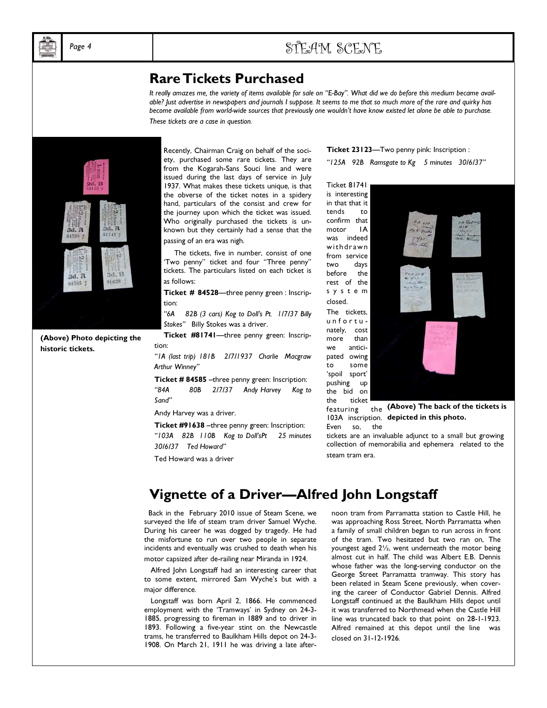

# Page 4  $\text{S} \uparrow \text{F} \uparrow \text{A} \uparrow \text{M}$ ,  $\text{S} \uparrow \text{F} \uparrow \text{N} \uparrow \text{F}$

### Rare Tickets Purchased

*It really amazes me, the variety of items available for sale on "E-Bay". What did we do before this medium became available? Just advertise in newspapers and journals I suppose. It seems to me that so much more of the rare and quirky has become available from world-wide sources that previously one wouldn't have know existed let alone be able to purchase. These tickets are a case in question.* 



(Above) Photo depicting the historic tickets.

Recently, Chairman Craig on behalf of the society, purchased some rare tickets. They are from the Kogarah-Sans Souci line and were issued during the last days of service in July 1937. What makes these tickets unique, is that the obverse of the ticket notes in a spidery hand, particulars of the consist and crew for the journey upon which the ticket was issued. Who originally purchased the tickets is unknown but they certainly had a sense that the passing of an era was nigh.

 The tickets, five in number, consist of one 'Two penny" ticket and four "Three penny" tickets. The particulars listed on each ticket is as follows:

Ticket # 84528-three penny green : Inscription:

*"6A 82B (3 cars) Kog to Doll's Pt. 1/7/37 Billy Stokes"* Billy Stokes was a driver.

Ticket #81741—three penny green: Inscription:

*"1A (last trip) 181B 2/7/1937 Charlie Macgraw Arthur Winney"* 

Ticket # 84585 –three penny green: Inscription: *"84A 80B 2/7/37 Andy Harvey Kog to Sand"* 

Andy Harvey was a driver.

Ticket #91638 –three penny green: Inscription: *"103A 82B 110B Kog to Doll'sPt 25 minutes 30/6/37 Ted Howard"* 

Ted Howard was a driver

Ticket 23123—Two penny pink: Inscription :

*"125A 92B Ramsgate to Kg 5 minutes 30/6/37"* 

is interesting in that that it tends to confirm that motor 1A was indeed withdrawn from service two days before the rest of the s y s t e m closed. The tickets, u n f o r t u nately, cost more than we anticipated owing to some 'spoil sport' pushing up the bid on the ticket featuring



103A inscription. depicted in this photo. Even so, the the (Above) The back of the tickets is

tickets are an invaluable adjunct to a small but growing collection of memorabilia and ephemera related to the steam tram era.

### Vignette of a Driver—Alfred John Longstaff

 Back in the February 2010 issue of Steam Scene, we surveyed the life of steam tram driver Samuel Wyche. During his career he was dogged by tragedy. He had the misfortune to run over two people in separate incidents and eventually was crushed to death when his motor capsized after de-railing near Miranda in 1924.

 Alfred John Longstaff had an interesting career that to some extent, mirrored Sam Wyche's but with a major difference.

 Longstaff was born April 2, 1866. He commenced employment with the 'Tramways' in Sydney on 24-3- 1885, progressing to fireman in 1889 and to driver in 1893. Following a five-year stint on the Newcastle trams, he transferred to Baulkham Hills depot on 24-3- 1908. On March 21, 1911 he was driving a late afternoon tram from Parramatta station to Castle Hill, he was approaching Ross Street, North Parramatta when a family of small children began to run across in front of the tram. Two hesitated but two ran on, The youngest aged 2½, went underneath the motor being almost cut in half. The child was Albert E.B. Dennis whose father was the long-serving conductor on the George Street Parramatta tramway. This story has been related in Steam Scene previously, when covering the career of Conductor Gabriel Dennis. Alfred Longstaff continued at the Baulkham Hills depot until it was transferred to Northmead when the Castle Hill line was truncated back to that point on 28-1-1923. Alfred remained at this depot until the line was closed on 31-12-1926.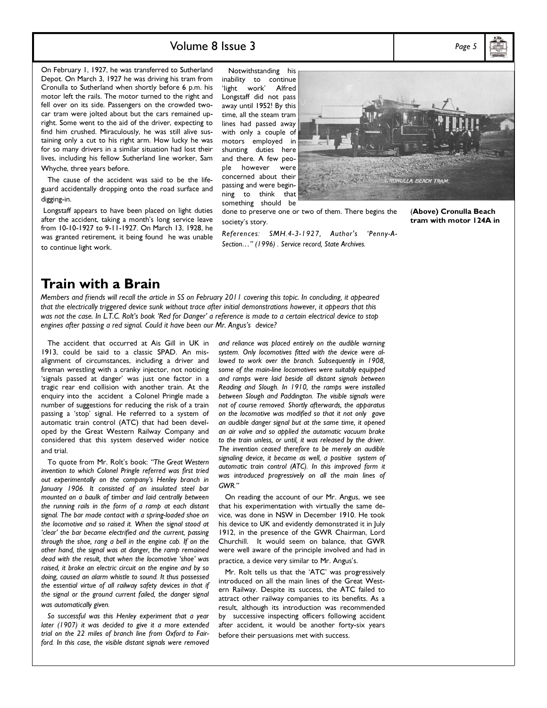### Volume 8 Issue 3 Page 5

On February 1, 1927, he was transferred to Sutherland Depot. On March 3, 1927 he was driving his tram from Cronulla to Sutherland when shortly before 6 p.m. his motor left the rails. The motor turned to the right and fell over on its side. Passengers on the crowded twocar tram were jolted about but the cars remained upright. Some went to the aid of the driver, expecting to find him crushed. Miraculously, he was still alive sustaining only a cut to his right arm. How lucky he was for so many drivers in a similar situation had lost their lives, including his fellow Sutherland line worker, Sam Whyche, three years before.

 The cause of the accident was said to be the lifeguard accidentally dropping onto the road surface and digging-in.

 Longstaff appears to have been placed on light duties after the accident, taking a month's long service leave from 10-10-1927 to 9-11-1927. On March 13, 1928, he was granted retirement, it being found he was unable to continue light work.

 Notwithstanding his inability to continue 'light work' Alfred Longstaff did not pass away until 1952! By this time, all the steam tram lines had passed away with only a couple of motors employed in shunting duties here and there. A few people however were concerned about their passing and were beginning to think that something should be



done to preserve one or two of them. There begins the society's story.

*References: SMH.4-3-1927, Author's 'Penny-A-Section…" (1996) . Service record, State Archives.* 

(Above) Cronulla Beach tram with motor 124A in

### Train with a Brain

Members and friends will recall the article in SS on February 2011 covering this topic. In concluding, it appeared that the electrically triggered device sunk without trace after initial demonstrations however, it appears that this was not the case. In L.T.C. Rolt's book 'Red for Danger' a reference is made to a certain electrical device to stop engines after passing a red signal. Could it have been our Mr. Angus's device?

 The accident that occurred at Ais Gill in UK in 1913, could be said to a classic SPAD. An misalignment of circumstances, including a driver and fireman wrestling with a cranky injector, not noticing 'signals passed at danger' was just one factor in a tragic rear end collision with another train. At the enquiry into the accident a Colonel Pringle made a number of suggestions for reducing the risk of a train passing a 'stop' signal. He referred to a system of automatic train control (ATC) that had been developed by the Great Western Railway Company and considered that this system deserved wider notice and trial.

 To quote from Mr. Rolt's book: *"The Great Western invention to which Colonel Pringle referred was first tried out experimentally on the company's Henley branch in January 1906. It consisted of an insulated steel bar mounted on a baulk of timber and laid centrally between the running rails in the form of a ramp at each distant signal. The bar made contact with a spring-loaded shoe on the locomotive and so raised it. When the signal stood at 'clear' the bar became electrified and the current, passing through the shoe, rang a bell in the engine cab. If on the other hand, the signal was at danger, the ramp remained dead with the result, that when the locomotive 'shoe' was raised, it broke an electric circuit on the engine and by so doing, caused an alarm whistle to sound. It thus possessed the essential virtue of all railway safety devices in that if the signal or the ground current failed, the danger signal was automatically given.* 

 *So successful was this Henley experiment that a year later (1907) it was decided to give it a more extended trial on the 22 miles of branch line from Oxford to Fairford. In this case, the visible distant signals were removed* 

*and reliance was placed entirely on the audible warning system. Only locomotives fitted with the device were allowed to work over the branch. Subsequently in 1908, some of the main-line locomotives were suitably equipped and ramps were laid beside all distant signals between Reading and Slough. In 1910, the ramps were installed between Slough and Paddington. The visible signals were not of course removed. Shortly afterwards, the apparatus on the locomotive was modified so that it not only gave an audible danger signal but at the same time, it opened an air valve and so applied the automatic vacuum brake to the train unless, or until, it was released by the driver. The invention ceased therefore to be merely an audible signaling device, it became as well, a positive system of automatic train control (ATC). In this improved form it was introduced progressively on all the main lines of GWR."* 

On reading the account of our Mr. Angus, we see that his experimentation with virtually the same device, was done in NSW in December 1910. He took his device to UK and evidently demonstrated it in July 1912, in the presence of the GWR Chairman, Lord Churchill. It would seem on balance, that GWR were well aware of the principle involved and had in practice, a device very similar to Mr. Angus's.

 Mr. Rolt tells us that the 'ATC' was progressively introduced on all the main lines of the Great Western Railway. Despite its success, the ATC failed to attract other railway companies to its benefits. As a result, although its introduction was recommended by successive inspecting officers following accident after accident, it would be another forty-six years before their persuasions met with success.